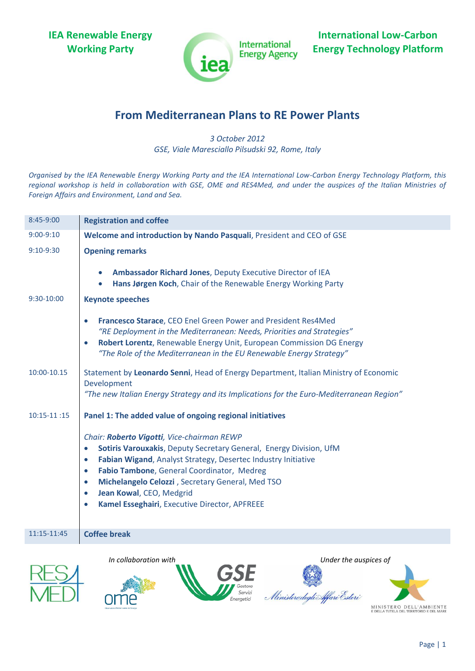**IEA Renewable Energy Working Party**



**International Energy Agency** 

**International Low-Carbon Energy Technology Platform**

## **From Mediterranean Plans to RE Power Plants**

*3 October 2012 GSE, Viale Maresciallo Pilsudski 92, Rome, Italy*

*Organised by the IEA Renewable Energy Working Party and the IEA International Low-Carbon Energy Technology Platform, this regional workshop is held in collaboration with GSE, OME and RES4Med, and under the auspices of the Italian Ministries of Foreign Affairs and Environment, Land and Sea.* 

| 8:45-9:00     | <b>Registration and coffee</b>                                                                                                                                                                                                                                                                                                                                                                                                                 |
|---------------|------------------------------------------------------------------------------------------------------------------------------------------------------------------------------------------------------------------------------------------------------------------------------------------------------------------------------------------------------------------------------------------------------------------------------------------------|
| $9:00 - 9:10$ | Welcome and introduction by Nando Pasquali, President and CEO of GSE                                                                                                                                                                                                                                                                                                                                                                           |
| $9:10-9:30$   | <b>Opening remarks</b>                                                                                                                                                                                                                                                                                                                                                                                                                         |
|               | Ambassador Richard Jones, Deputy Executive Director of IEA<br>Hans Jørgen Koch, Chair of the Renewable Energy Working Party                                                                                                                                                                                                                                                                                                                    |
| 9:30-10:00    | <b>Keynote speeches</b>                                                                                                                                                                                                                                                                                                                                                                                                                        |
|               | Francesco Starace, CEO Enel Green Power and President Res4Med<br>$\bullet$<br>"RE Deployment in the Mediterranean: Needs, Priorities and Strategies"<br>Robert Lorentz, Renewable Energy Unit, European Commission DG Energy<br>$\bullet$<br>"The Role of the Mediterranean in the EU Renewable Energy Strategy"                                                                                                                               |
| 10:00-10.15   | Statement by Leonardo Senni, Head of Energy Department, Italian Ministry of Economic<br>Development<br>"The new Italian Energy Strategy and its Implications for the Euro-Mediterranean Region"                                                                                                                                                                                                                                                |
| $10:15-11:15$ | Panel 1: The added value of ongoing regional initiatives                                                                                                                                                                                                                                                                                                                                                                                       |
|               | Chair: Roberto Vigotti, Vice-chairman REWP<br>Sotiris Varouxakis, Deputy Secretary General, Energy Division, UfM<br>$\bullet$<br>Fabian Wigand, Analyst Strategy, Desertec Industry Initiative<br>$\bullet$<br>Fabio Tambone, General Coordinator, Medreg<br>$\bullet$<br>Michelangelo Celozzi, Secretary General, Med TSO<br>$\bullet$<br>Jean Kowal, CEO, Medgrid<br>$\bullet$<br>Kamel Esseghairi, Executive Director, APFREEE<br>$\bullet$ |
| 11:15-11:45   | <b>Coffee break</b>                                                                                                                                                                                                                                                                                                                                                                                                                            |
|               | In collaboration with<br>Under the auspices of<br>Ministero degli Affari Esteri                                                                                                                                                                                                                                                                                                                                                                |

Page | 1

MINISTERO DELL'AMBIENTE<br>e della tutela del territorio e del mare